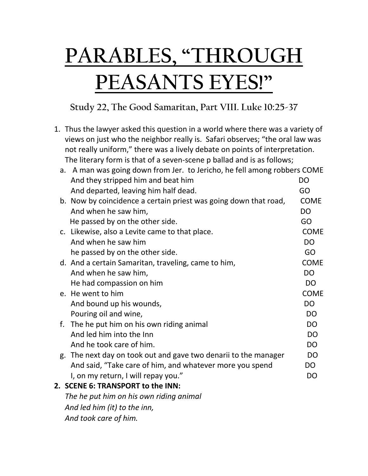## **PARABLES, "THROUGH PEASANTS EYES!"**

## **Study 22, The Good Samaritan, Part VIII. Luke 10:25-37**

1. Thus the lawyer asked this question in a world where there was a variety of views on just who the neighbor really is. Safari observes; "the oral law was not really uniform," there was a lively debate on points of interpretation. The literary form is that of a seven-scene p ballad and is as follows;

|                              | a. A man was going down from Jer. to Jericho, he fell among robbers COME |                |
|------------------------------|--------------------------------------------------------------------------|----------------|
|                              | And they stripped him and beat him                                       | DO             |
|                              | And departed, leaving him half dead.                                     | GO             |
|                              | b. Now by coincidence a certain priest was going down that road,         | <b>COME</b>    |
|                              | And when he saw him,                                                     | <b>DO</b>      |
|                              | He passed by on the other side.                                          | GO             |
|                              | c. Likewise, also a Levite came to that place.                           | <b>COME</b>    |
|                              | And when he saw him                                                      | <b>DO</b>      |
|                              | he passed by on the other side.                                          | GO             |
|                              | d. And a certain Samaritan, traveling, came to him,                      | <b>COME</b>    |
|                              | And when he saw him,                                                     | DO             |
|                              | He had compassion on him                                                 | <b>DO</b>      |
|                              | e. He went to him                                                        | <b>COME</b>    |
|                              | And bound up his wounds,                                                 | <b>DO</b>      |
|                              | Pouring oil and wine,                                                    | D <sub>O</sub> |
|                              | f. The he put him on his own riding animal                               | D <sub>O</sub> |
|                              | And led him into the Inn                                                 | <b>DO</b>      |
|                              | And he took care of him.                                                 | <b>DO</b>      |
|                              | g. The next day on took out and gave two denarii to the manager          | <b>DO</b>      |
|                              | And said, "Take care of him, and whatever more you spend                 | <b>DO</b>      |
|                              | I, on my return, I will repay you."                                      | <b>DO</b>      |
|                              | 2. SCENE 6: TRANSPORT to the INN:                                        |                |
|                              | The he put him on his own riding animal                                  |                |
| And led him (it) to the inn, |                                                                          |                |
| And took care of him.        |                                                                          |                |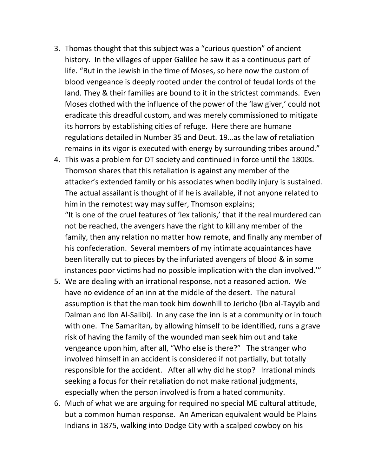- 3. Thomas thought that this subject was a "curious question" of ancient history. In the villages of upper Galilee he saw it as a continuous part of life. "But in the Jewish in the time of Moses, so here now the custom of blood vengeance is deeply rooted under the control of feudal lords of the land. They & their families are bound to it in the strictest commands. Even Moses clothed with the influence of the power of the 'law giver,' could not eradicate this dreadful custom, and was merely commissioned to mitigate its horrors by establishing cities of refuge. Here there are humane regulations detailed in Number 35 and Deut. 19…as the law of retaliation remains in its vigor is executed with energy by surrounding tribes around."
- 4. This was a problem for OT society and continued in force until the 1800s. Thomson shares that this retaliation is against any member of the attacker's extended family or his associates when bodily injury is sustained. The actual assailant is thought of if he is available, if not anyone related to him in the remotest way may suffer, Thomson explains; "It is one of the cruel features of 'lex talionis,' that if the real murdered can not be reached, the avengers have the right to kill any member of the family, then any relation no matter how remote, and finally any member of his confederation. Several members of my intimate acquaintances have been literally cut to pieces by the infuriated avengers of blood & in some instances poor victims had no possible implication with the clan involved.'"
- 5. We are dealing with an irrational response, not a reasoned action. We have no evidence of an inn at the middle of the desert. The natural assumption is that the man took him downhill to Jericho (Ibn al-Tayyib and Dalman and Ibn Al-Salibi). In any case the inn is at a community or in touch with one. The Samaritan, by allowing himself to be identified, runs a grave risk of having the family of the wounded man seek him out and take vengeance upon him, after all, "Who else is there?" The stranger who involved himself in an accident is considered if not partially, but totally responsible for the accident. After all why did he stop? Irrational minds seeking a focus for their retaliation do not make rational judgments, especially when the person involved is from a hated community.
- 6. Much of what we are arguing for required no special ME cultural attitude, but a common human response. An American equivalent would be Plains Indians in 1875, walking into Dodge City with a scalped cowboy on his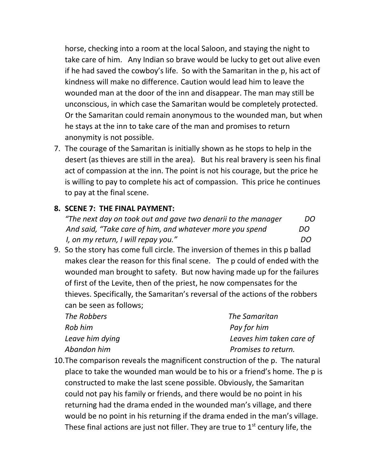horse, checking into a room at the local Saloon, and staying the night to take care of him. Any Indian so brave would be lucky to get out alive even if he had saved the cowboy's life. So with the Samaritan in the p, his act of kindness will make no difference. Caution would lead him to leave the wounded man at the door of the inn and disappear. The man may still be unconscious, in which case the Samaritan would be completely protected. Or the Samaritan could remain anonymous to the wounded man, but when he stays at the inn to take care of the man and promises to return anonymity is not possible.

7. The courage of the Samaritan is initially shown as he stops to help in the desert (as thieves are still in the area). But his real bravery is seen his final act of compassion at the inn. The point is not his courage, but the price he is willing to pay to complete his act of compassion. This price he continues to pay at the final scene.

## **8. SCENE 7: THE FINAL PAYMENT:**

*"The next day on took out and gave two denarii to the manager DO And said, "Take care of him, and whatever more you spend DO I*, on my return, I will repay you." DO

9. So the story has come full circle. The inversion of themes in this p ballad makes clear the reason for this final scene. The p could of ended with the wounded man brought to safety. But now having made up for the failures of first of the Levite, then of the priest, he now compensates for the thieves. Specifically, the Samaritan's reversal of the actions of the robbers can be seen as follows;

| The Robbers     | The Samaritan            |
|-----------------|--------------------------|
| Rob him         | Pay for him              |
| Leave him dying | Leaves him taken care of |
| Abandon him     | Promises to return.      |

10.The comparison reveals the magnificent construction of the p. The natural place to take the wounded man would be to his or a friend's home. The p is constructed to make the last scene possible. Obviously, the Samaritan could not pay his family or friends, and there would be no point in his returning had the drama ended in the wounded man's village, and there would be no point in his returning if the drama ended in the man's village. These final actions are just not filler. They are true to  $1<sup>st</sup>$  century life, the